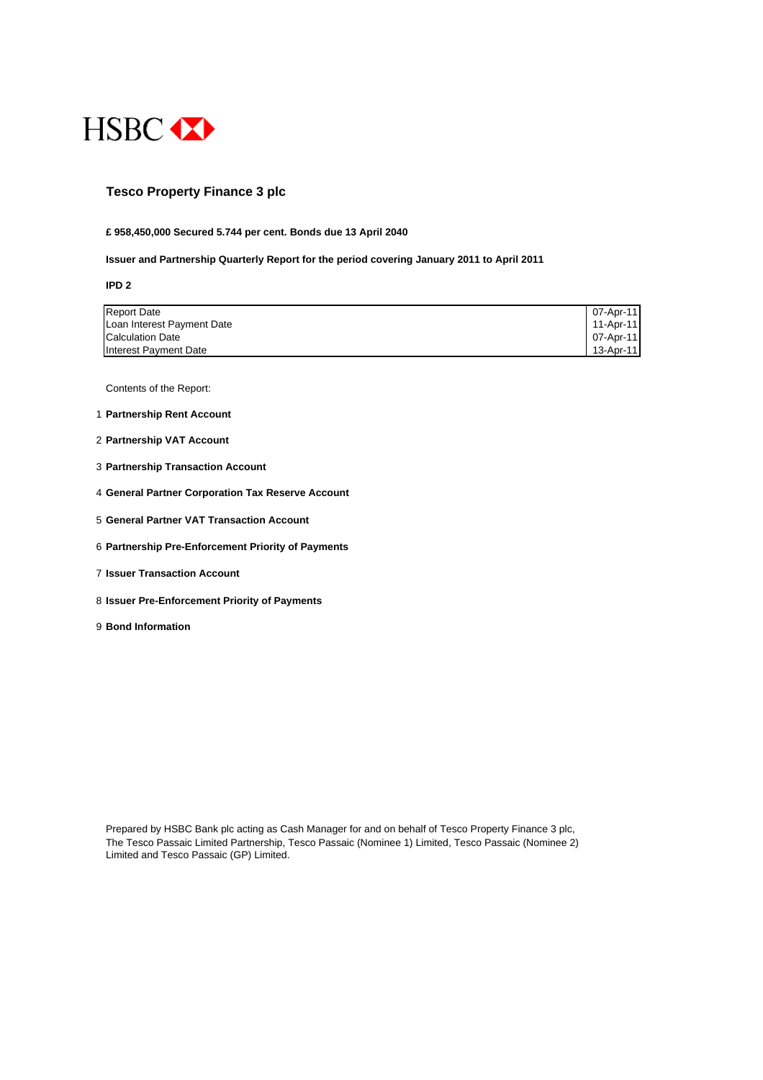

## **Tesco Property Finance 3 plc**

#### **£ 958,450,000 Secured 5.744 per cent. Bonds due 13 April 2040**

#### **Issuer and Partnership Quarterly Report for the period covering January 2011 to April 2011**

**IPD 2**

| <b>Report Date</b>         | 07-Apr-11     |
|----------------------------|---------------|
| Loan Interest Payment Date | 11-Apr-11     |
| <b>Calculation Date</b>    | 07-Apr-11     |
| Interest Payment Date      | $13 -$ Apr-11 |

Contents of the Report:

- 1 **Partnership Rent Account**
- 2 **Partnership VAT Account**
- 3 **Partnership Transaction Account**
- 4 **General Partner Corporation Tax Reserve Account**
- 5 **General Partner VAT Transaction Account**
- 6 **Partnership Pre-Enforcement Priority of Payments**
- 7 **Issuer Transaction Account**
- 8 **Issuer Pre-Enforcement Priority of Payments**
- 9 **Bond Information**

Prepared by HSBC Bank plc acting as Cash Manager for and on behalf of Tesco Property Finance 3 plc, The Tesco Passaic Limited Partnership, Tesco Passaic (Nominee 1) Limited, Tesco Passaic (Nominee 2) Limited and Tesco Passaic (GP) Limited.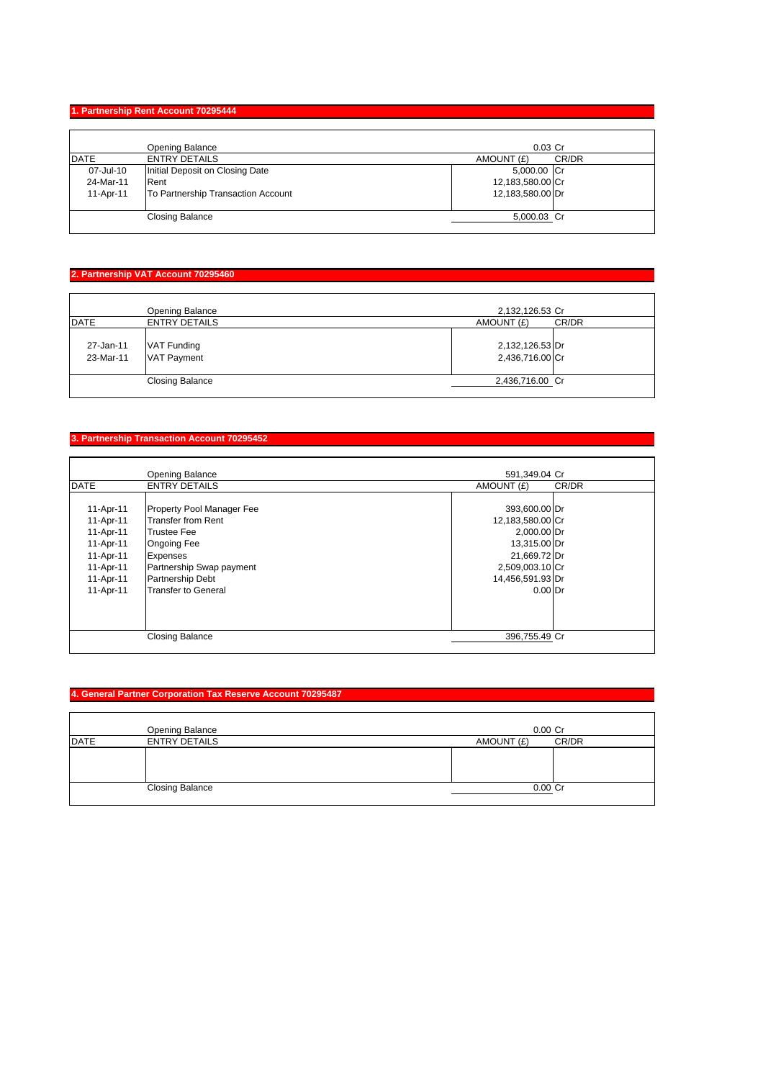#### **1. Partnership Rent Account 70295444**

|             | Opening Balance                    | $0.03$ Cr        |       |
|-------------|------------------------------------|------------------|-------|
| <b>DATE</b> | <b>ENTRY DETAILS</b>               | AMOUNT (£)       | CR/DR |
| 07-Jul-10   | Initial Deposit on Closing Date    | 5,000.00 Cr      |       |
| 24-Mar-11   | Rent                               | 12,183,580.00 Cr |       |
| 11-Apr-11   | To Partnership Transaction Account | 12,183,580.00 Dr |       |
|             | <b>Closing Balance</b>             | 5,000.03 Cr      |       |

## **2. Partnership VAT Account 70295460**

| <b>DATE</b> | Opening Balance<br><b>ENTRY DETAILS</b>      | 2,132,126.53 Cr<br>AMOUNT (£)      | CR/DR |
|-------------|----------------------------------------------|------------------------------------|-------|
| 27-Jan-11   | VAT Funding                                  | 2,132,126.53 Dr                    |       |
| 23-Mar-11   | <b>VAT Payment</b><br><b>Closing Balance</b> | 2,436,716.00 Cr<br>2,436,716.00 Cr |       |
|             |                                              |                                    |       |

# **3. Partnership Transaction Account 70295452**

|             | Opening Balance                  | 591,349.04 Cr    |       |
|-------------|----------------------------------|------------------|-------|
| <b>DATE</b> | <b>ENTRY DETAILS</b>             | AMOUNT (£)       | CR/DR |
|             |                                  |                  |       |
| 11-Apr-11   | <b>Property Pool Manager Fee</b> | 393,600.00 Dr    |       |
| 11-Apr-11   | Transfer from Rent               | 12,183,580.00 Cr |       |
| 11-Apr-11   | <b>Trustee Fee</b>               | 2,000.00 Dr      |       |
| 11-Apr-11   | <b>Ongoing Fee</b>               | 13,315.00 Dr     |       |
| 11-Apr-11   | Expenses                         | 21,669.72 Dr     |       |
| 11-Apr-11   | Partnership Swap payment         | 2,509,003.10 Cr  |       |
| 11-Apr-11   | Partnership Debt                 | 14,456,591.93 Dr |       |
| 11-Apr-11   | <b>Transfer to General</b>       | $0.00$ Dr        |       |
|             |                                  |                  |       |
|             |                                  |                  |       |
|             |                                  |                  |       |
|             | <b>Closing Balance</b>           | 396,755.49 Cr    |       |

## **4. General Partner Corporation Tax Reserve Account 70295487**

|             | Opening Balance        | $0.00$ Cr           |
|-------------|------------------------|---------------------|
| <b>DATE</b> | <b>ENTRY DETAILS</b>   | CR/DR<br>AMOUNT (£) |
|             |                        |                     |
|             | <b>Closing Balance</b> | $0.00$ Cr           |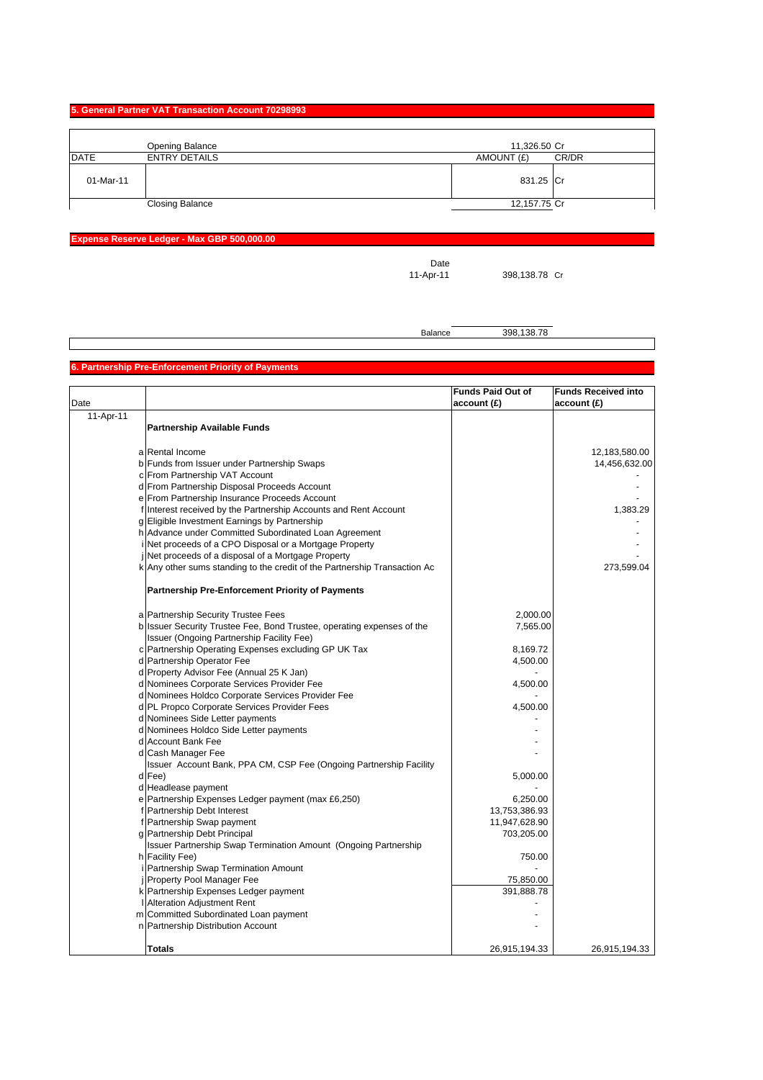#### **5. General Partner VAT Transaction Account 70298993**

|             | Opening Balance        | 11,326.50 Cr |       |
|-------------|------------------------|--------------|-------|
| <b>DATE</b> | <b>ENTRY DETAILS</b>   | AMOUNT (£)   | CR/DR |
| 01-Mar-11   |                        | 831.25 Cr    |       |
|             | <b>Closing Balance</b> | 12,157.75 Cr |       |

## **Expense Reserve Ledger - Max GBP 500,000.00**

Date<br>11-Apr-11

398,138.78 Cr

Balance 398,138.78

# **6. Partnership Pre-Enforcement Priority of Payments**

|           |                                                                                                                     | <b>Funds Paid Out of</b> | <b>Funds Received into</b> |
|-----------|---------------------------------------------------------------------------------------------------------------------|--------------------------|----------------------------|
| Date      |                                                                                                                     | account (£)              | account (£)                |
| 11-Apr-11 |                                                                                                                     |                          |                            |
|           | <b>Partnership Available Funds</b>                                                                                  |                          |                            |
|           |                                                                                                                     |                          |                            |
|           | a Rental Income                                                                                                     |                          | 12,183,580.00              |
|           | b Funds from Issuer under Partnership Swaps                                                                         |                          | 14,456,632.00              |
|           | c From Partnership VAT Account                                                                                      |                          |                            |
|           | d From Partnership Disposal Proceeds Account                                                                        |                          |                            |
|           | e From Partnership Insurance Proceeds Account                                                                       |                          |                            |
|           | f Interest received by the Partnership Accounts and Rent Account                                                    |                          | 1,383.29                   |
|           | g Eligible Investment Earnings by Partnership                                                                       |                          |                            |
|           | h Advance under Committed Subordinated Loan Agreement                                                               |                          |                            |
|           | Net proceeds of a CPO Disposal or a Mortgage Property                                                               |                          |                            |
|           | Net proceeds of a disposal of a Mortgage Property                                                                   |                          |                            |
|           | k Any other sums standing to the credit of the Partnership Transaction Ac                                           |                          | 273,599.04                 |
|           | <b>Partnership Pre-Enforcement Priority of Payments</b>                                                             |                          |                            |
|           |                                                                                                                     |                          |                            |
|           | a Partnership Security Trustee Fees                                                                                 | 2,000.00                 |                            |
|           | b Issuer Security Trustee Fee, Bond Trustee, operating expenses of the<br>Issuer (Ongoing Partnership Facility Fee) | 7,565.00                 |                            |
|           | c Partnership Operating Expenses excluding GP UK Tax                                                                | 8,169.72                 |                            |
|           | d Partnership Operator Fee                                                                                          | 4,500.00                 |                            |
|           | d Property Advisor Fee (Annual 25 K Jan)                                                                            |                          |                            |
|           | d Nominees Corporate Services Provider Fee                                                                          | 4,500.00                 |                            |
|           | d Nominees Holdco Corporate Services Provider Fee                                                                   |                          |                            |
|           | d PL Propco Corporate Services Provider Fees                                                                        | 4,500.00                 |                            |
|           | d Nominees Side Letter payments                                                                                     |                          |                            |
|           | d Nominees Holdco Side Letter payments                                                                              |                          |                            |
|           | d Account Bank Fee                                                                                                  |                          |                            |
|           | d Cash Manager Fee                                                                                                  |                          |                            |
|           | Issuer Account Bank, PPA CM, CSP Fee (Ongoing Partnership Facility                                                  |                          |                            |
|           | d Fee)                                                                                                              | 5,000.00                 |                            |
|           | d Headlease payment                                                                                                 |                          |                            |
|           | e Partnership Expenses Ledger payment (max £6,250)                                                                  | 6,250.00                 |                            |
|           | f Partnership Debt Interest                                                                                         | 13,753,386.93            |                            |
|           | f Partnership Swap payment                                                                                          | 11,947,628.90            |                            |
|           | g Partnership Debt Principal                                                                                        | 703,205.00               |                            |
|           | Issuer Partnership Swap Termination Amount (Ongoing Partnership                                                     |                          |                            |
|           | h Facility Fee)                                                                                                     | 750.00                   |                            |
|           | i Partnership Swap Termination Amount                                                                               |                          |                            |
|           | <b>Property Pool Manager Fee</b>                                                                                    | 75,850.00                |                            |
|           | k Partnership Expenses Ledger payment                                                                               | 391,888.78               |                            |
|           | Alteration Adjustment Rent                                                                                          |                          |                            |
|           | m Committed Subordinated Loan payment                                                                               |                          |                            |
|           | n Partnership Distribution Account                                                                                  |                          |                            |
|           | <b>Totals</b>                                                                                                       | 26,915,194.33            | 26,915,194.33              |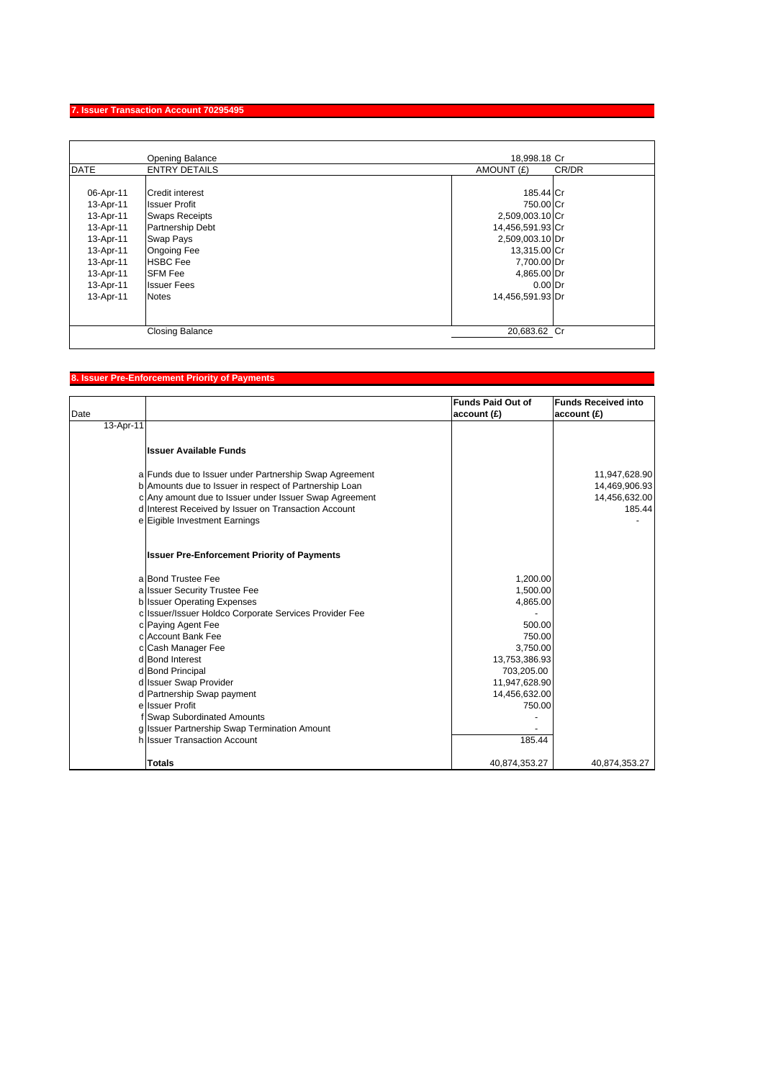## **7. Issuer Transaction Account 70295495**

| <b>DATE</b><br><b>ENTRY DETAILS</b><br>06-Apr-11<br><b>Credit interest</b> | AMOUNT (£)       | CR/DR |
|----------------------------------------------------------------------------|------------------|-------|
|                                                                            |                  |       |
|                                                                            |                  |       |
|                                                                            | 185.44 Cr        |       |
| 13-Apr-11<br><b>Issuer Profit</b>                                          | 750.00 Cr        |       |
| <b>Swaps Receipts</b><br>13-Apr-11                                         | 2,509,003.10 Cr  |       |
| Partnership Debt<br>13-Apr-11                                              | 14,456,591.93 Cr |       |
| 13-Apr-11<br>Swap Pays                                                     | 2,509,003.10 Dr  |       |
| <b>Ongoing Fee</b><br>13-Apr-11                                            | 13,315.00 Cr     |       |
| <b>HSBC</b> Fee<br>13-Apr-11                                               | 7,700.00 Dr      |       |
| <b>SFM Fee</b><br>13-Apr-11                                                | 4,865.00 Dr      |       |
| 13-Apr-11<br><b>Issuer Fees</b>                                            | $0.00$ Dr        |       |
| 13-Apr-11<br><b>Notes</b>                                                  | 14,456,591.93 Dr |       |
|                                                                            |                  |       |
| <b>Closing Balance</b>                                                     | 20,683.62 Cr     |       |

## **8. Issuer Pre-Enforcement Priority of Payments**

| Date      |                                                        | <b>Funds Paid Out of</b><br>account(E) | <b>Funds Received into</b><br>account(E) |
|-----------|--------------------------------------------------------|----------------------------------------|------------------------------------------|
| 13-Apr-11 |                                                        |                                        |                                          |
|           |                                                        |                                        |                                          |
|           | <b>Issuer Available Funds</b>                          |                                        |                                          |
|           | a Funds due to Issuer under Partnership Swap Agreement |                                        | 11,947,628.90                            |
|           | b Amounts due to Issuer in respect of Partnership Loan |                                        | 14,469,906.93                            |
|           | c Any amount due to Issuer under Issuer Swap Agreement |                                        | 14,456,632.00                            |
|           | d Interest Received by Issuer on Transaction Account   |                                        | 185.44                                   |
|           | e Eigible Investment Earnings                          |                                        |                                          |
|           | <b>Issuer Pre-Enforcement Priority of Payments</b>     |                                        |                                          |
|           | a Bond Trustee Fee                                     | 1.200.00                               |                                          |
|           | a Issuer Security Trustee Fee                          | 1,500.00                               |                                          |
|           | <b>b</b> Issuer Operating Expenses                     | 4,865.00                               |                                          |
|           | c Issuer/Issuer Holdco Corporate Services Provider Fee |                                        |                                          |
|           | c Paying Agent Fee                                     | 500.00                                 |                                          |
|           | c Account Bank Fee                                     | 750.00                                 |                                          |
|           | c Cash Manager Fee                                     | 3,750.00                               |                                          |
|           | d Bond Interest                                        | 13,753,386.93                          |                                          |
|           | d Bond Principal                                       | 703,205.00                             |                                          |
|           | d Issuer Swap Provider                                 | 11,947,628.90                          |                                          |
|           | d Partnership Swap payment                             | 14,456,632.00                          |                                          |
|           | e Issuer Profit                                        | 750.00                                 |                                          |
|           | f Swap Subordinated Amounts                            |                                        |                                          |
|           | g Issuer Partnership Swap Termination Amount           |                                        |                                          |
|           | h Issuer Transaction Account                           | 185.44                                 |                                          |
|           | <b>Totals</b>                                          | 40,874,353.27                          | 40,874,353.27                            |